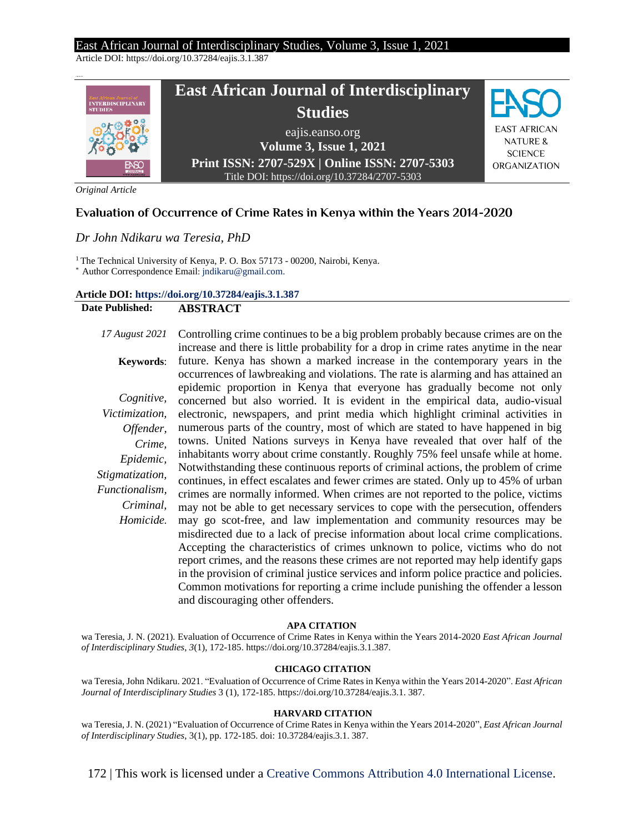Article DOI: https://doi.org/10.37284/eajis.3.1.387



*Original Article*

### **Evaluation of Occurrence of Crime Rates in Kenya within the Years 2014-2020**

#### *Dr John Ndikaru wa Teresia, PhD*

<sup>1</sup> The Technical University of Kenya, P. O. Box 57173 - 00200, Nairobi, Kenya.

\* Author Correspondence Email: jndikaru@gmail.com.

#### **Article DOI: <https://doi.org/10.37284/eajis.3.1.387>**

#### **Date Published: ABSTRACT**

# *17 August 2021*

*Cognitive, Victimization, Offender, Crime, Epidemic, Stigmatization, Functionalism, Criminal, Homicide.*

**Keywords**: Controlling crime continues to be a big problem probably because crimes are on the increase and there is little probability for a drop in crime rates anytime in the near future. Kenya has shown a marked increase in the contemporary years in the occurrences of lawbreaking and violations. The rate is alarming and has attained an epidemic proportion in Kenya that everyone has gradually become not only concerned but also worried. It is evident in the empirical data, audio-visual electronic, newspapers, and print media which highlight criminal activities in numerous parts of the country, most of which are stated to have happened in big towns. United Nations surveys in Kenya have revealed that over half of the inhabitants worry about crime constantly. Roughly 75% feel unsafe while at home. Notwithstanding these continuous reports of criminal actions, the problem of crime continues, in effect escalates and fewer crimes are stated. Only up to 45% of urban crimes are normally informed. When crimes are not reported to the police, victims may not be able to get necessary services to cope with the persecution, offenders may go scot-free, and law implementation and community resources may be misdirected due to a lack of precise information about local crime complications. Accepting the characteristics of crimes unknown to police, victims who do not report crimes, and the reasons these crimes are not reported may help identify gaps in the provision of criminal justice services and inform police practice and policies. Common motivations for reporting a crime include punishing the offender a lesson and discouraging other offenders.

#### **APA CITATION**

wa Teresia, J. N. (2021). Evaluation of Occurrence of Crime Rates in Kenya within the Years 2014-2020 *East African Journal of Interdisciplinary Studies*, *3*(1), 172-185. https://doi.org/10.37284/eajis.3.1.387.

#### **CHICAGO CITATION**

wa Teresia, John Ndikaru. 2021. "Evaluation of Occurrence of Crime Rates in Kenya within the Years 2014-2020". *East African Journal of Interdisciplinary Studies* 3 (1), 172-185. https://doi.org/10.37284/eajis.3.1. 387.

#### **HARVARD CITATION**

wa Teresia, J. N. (2021) "Evaluation of Occurrence of Crime Rates in Kenya within the Years 2014-2020", *East African Journal of Interdisciplinary Studies*, 3(1), pp. 172-185. doi: 10.37284/eajis.3.1. 387.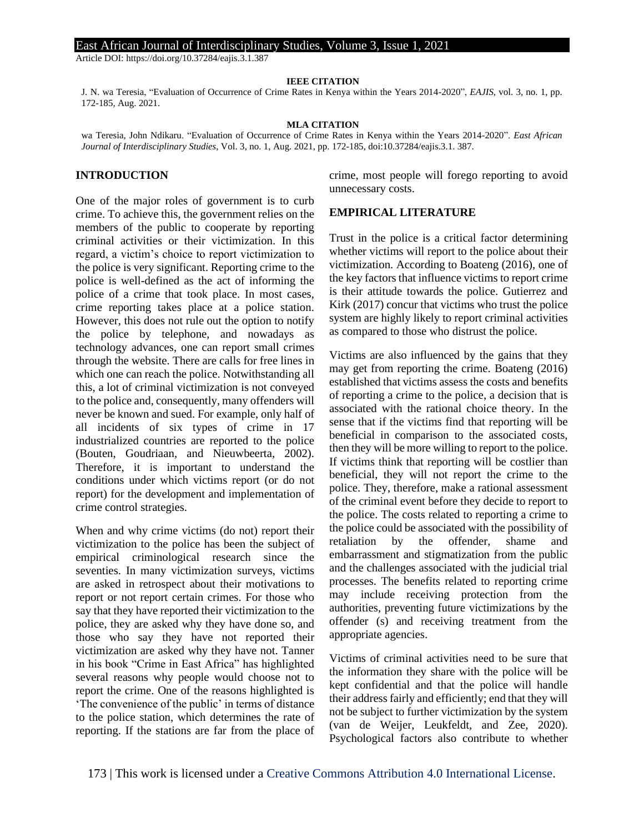Article DOI: https://doi.org/10.37284/eajis.3.1.387

#### **IEEE CITATION**

J. N. wa Teresia, "Evaluation of Occurrence of Crime Rates in Kenya within the Years 2014-2020", *EAJIS*, vol. 3, no. 1, pp. 172-185, Aug. 2021.

#### **MLA CITATION**

wa Teresia, John Ndikaru. "Evaluation of Occurrence of Crime Rates in Kenya within the Years 2014-2020". *East African Journal of Interdisciplinary Studies*, Vol. 3, no. 1, Aug. 2021, pp. 172-185, doi:10.37284/eajis.3.1. 387.

#### **INTRODUCTION**

One of the major roles of government is to curb crime. To achieve this, the government relies on the members of the public to cooperate by reporting criminal activities or their victimization. In this regard, a victim's choice to report victimization to the police is very significant. Reporting crime to the police is well-defined as the act of informing the police of a crime that took place. In most cases, crime reporting takes place at a police station. However, this does not rule out the option to notify the police by telephone, and nowadays as technology advances, one can report small crimes through the website. There are calls for free lines in which one can reach the police. Notwithstanding all this, a lot of criminal victimization is not conveyed to the police and, consequently, many offenders will never be known and sued. For example, only half of all incidents of six types of crime in 17 industrialized countries are reported to the police (Bouten, Goudriaan, and Nieuwbeerta, 2002). Therefore, it is important to understand the conditions under which victims report (or do not report) for the development and implementation of crime control strategies.

When and why crime victims (do not) report their victimization to the police has been the subject of empirical criminological research since the seventies. In many victimization surveys, victims are asked in retrospect about their motivations to report or not report certain crimes. For those who say that they have reported their victimization to the police, they are asked why they have done so, and those who say they have not reported their victimization are asked why they have not. Tanner in his book "Crime in East Africa" has highlighted several reasons why people would choose not to report the crime. One of the reasons highlighted is 'The convenience of the public' in terms of distance to the police station, which determines the rate of reporting. If the stations are far from the place of crime, most people will forego reporting to avoid unnecessary costs.

#### **EMPIRICAL LITERATURE**

Trust in the police is a critical factor determining whether victims will report to the police about their victimization. According to Boateng (2016), one of the key factors that influence victims to report crime is their attitude towards the police. Gutierrez and Kirk (2017) concur that victims who trust the police system are highly likely to report criminal activities as compared to those who distrust the police.

Victims are also influenced by the gains that they may get from reporting the crime. Boateng (2016) established that victims assess the costs and benefits of reporting a crime to the police, a decision that is associated with the rational choice theory. In the sense that if the victims find that reporting will be beneficial in comparison to the associated costs, then they will be more willing to report to the police. If victims think that reporting will be costlier than beneficial, they will not report the crime to the police. They, therefore, make a rational assessment of the criminal event before they decide to report to the police. The costs related to reporting a crime to the police could be associated with the possibility of retaliation by the offender, shame and embarrassment and stigmatization from the public and the challenges associated with the judicial trial processes. The benefits related to reporting crime may include receiving protection from the authorities, preventing future victimizations by the offender (s) and receiving treatment from the appropriate agencies.

Victims of criminal activities need to be sure that the information they share with the police will be kept confidential and that the police will handle their address fairly and efficiently; end that they will not be subject to further victimization by the system (van de Weijer, Leukfeldt, and Zee, 2020). Psychological factors also contribute to whether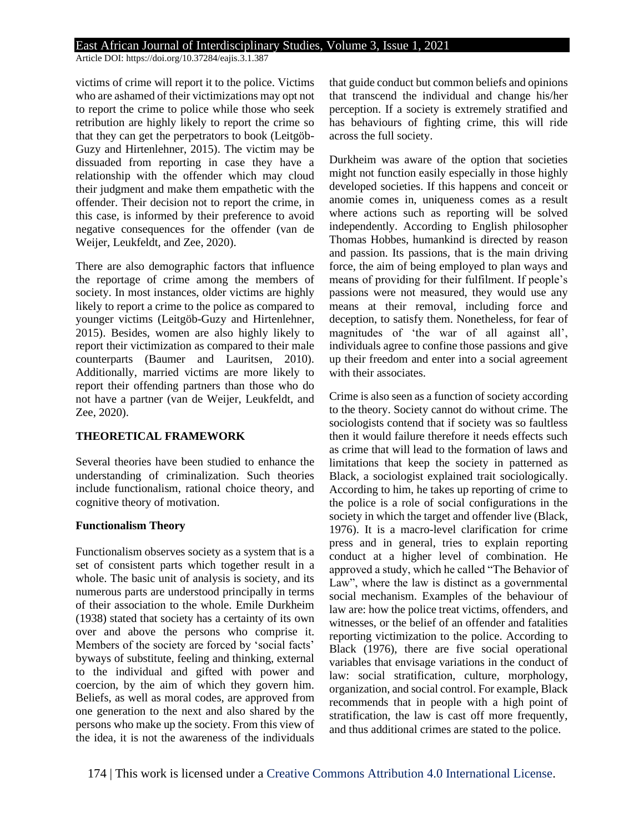Article DOI: https://doi.org/10.37284/eajis.3.1.387

victims of crime will report it to the police. Victims who are ashamed of their victimizations may opt not to report the crime to police while those who seek retribution are highly likely to report the crime so that they can get the perpetrators to book (Leitgöb-Guzy and Hirtenlehner, 2015). The victim may be dissuaded from reporting in case they have a relationship with the offender which may cloud their judgment and make them empathetic with the offender. Their decision not to report the crime, in this case, is informed by their preference to avoid negative consequences for the offender (van de Weijer, Leukfeldt, and Zee, 2020).

There are also demographic factors that influence the reportage of crime among the members of society. In most instances, older victims are highly likely to report a crime to the police as compared to younger victims (Leitgöb-Guzy and Hirtenlehner, 2015). Besides, women are also highly likely to report their victimization as compared to their male counterparts (Baumer and Lauritsen, 2010). Additionally, married victims are more likely to report their offending partners than those who do not have a partner (van de Weijer, Leukfeldt, and Zee, 2020).

#### **THEORETICAL FRAMEWORK**

Several theories have been studied to enhance the understanding of criminalization. Such theories include functionalism, rational choice theory, and cognitive theory of motivation.

#### **Functionalism Theory**

Functionalism observes society as a system that is a set of consistent parts which together result in a whole. The basic unit of analysis is society, and its numerous parts are understood principally in terms of their association to the whole. Emile Durkheim (1938) stated that society has a certainty of its own over and above the persons who comprise it. Members of the society are forced by 'social facts' byways of substitute, feeling and thinking, external to the individual and gifted with power and coercion, by the aim of which they govern him. Beliefs, as well as moral codes, are approved from one generation to the next and also shared by the persons who make up the society. From this view of the idea, it is not the awareness of the individuals that guide conduct but common beliefs and opinions that transcend the individual and change his/her perception. If a society is extremely stratified and has behaviours of fighting crime, this will ride across the full society.

Durkheim was aware of the option that societies might not function easily especially in those highly developed societies. If this happens and conceit or anomie comes in, uniqueness comes as a result where actions such as reporting will be solved independently. According to English philosopher Thomas Hobbes, humankind is directed by reason and passion. Its passions, that is the main driving force, the aim of being employed to plan ways and means of providing for their fulfilment. If people's passions were not measured, they would use any means at their removal, including force and deception, to satisfy them. Nonetheless, for fear of magnitudes of 'the war of all against all', individuals agree to confine those passions and give up their freedom and enter into a social agreement with their associates.

Crime is also seen as a function of society according to the theory. Society cannot do without crime. The sociologists contend that if society was so faultless then it would failure therefore it needs effects such as crime that will lead to the formation of laws and limitations that keep the society in patterned as Black, a sociologist explained trait sociologically. According to him, he takes up reporting of crime to the police is a role of social configurations in the society in which the target and offender live (Black, 1976). It is a macro-level clarification for crime press and in general, tries to explain reporting conduct at a higher level of combination. He approved a study, which he called "The Behavior of Law", where the law is distinct as a governmental social mechanism. Examples of the behaviour of law are: how the police treat victims, offenders, and witnesses, or the belief of an offender and fatalities reporting victimization to the police. According to Black (1976), there are five social operational variables that envisage variations in the conduct of law: social stratification, culture, morphology, organization, and social control. For example, Black recommends that in people with a high point of stratification, the law is cast off more frequently, and thus additional crimes are stated to the police.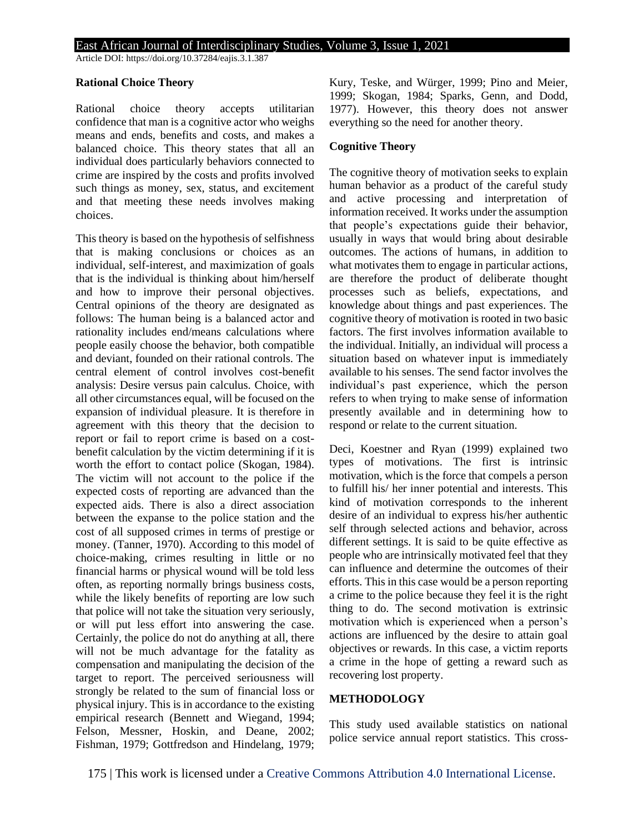Article DOI: https://doi.org/10.37284/eajis.3.1.387

#### **Rational Choice Theory**

Rational choice theory accepts utilitarian confidence that man is a cognitive actor who weighs means and ends, benefits and costs, and makes a balanced choice. This theory states that all an individual does particularly behaviors connected to crime are inspired by the costs and profits involved such things as money, sex, status, and excitement and that meeting these needs involves making choices.

This theory is based on the hypothesis of selfishness that is making conclusions or choices as an individual, self-interest, and maximization of goals that is the individual is thinking about him/herself and how to improve their personal objectives. Central opinions of the theory are designated as follows: The human being is a balanced actor and rationality includes end/means calculations where people easily choose the behavior, both compatible and deviant, founded on their rational controls. The central element of control involves cost-benefit analysis: Desire versus pain calculus. Choice, with all other circumstances equal, will be focused on the expansion of individual pleasure. It is therefore in agreement with this theory that the decision to report or fail to report crime is based on a costbenefit calculation by the victim determining if it is worth the effort to contact police (Skogan, 1984). The victim will not account to the police if the expected costs of reporting are advanced than the expected aids. There is also a direct association between the expanse to the police station and the cost of all supposed crimes in terms of prestige or money. (Tanner, 1970). According to this model of choice-making, crimes resulting in little or no financial harms or physical wound will be told less often, as reporting normally brings business costs, while the likely benefits of reporting are low such that police will not take the situation very seriously, or will put less effort into answering the case. Certainly, the police do not do anything at all, there will not be much advantage for the fatality as compensation and manipulating the decision of the target to report. The perceived seriousness will strongly be related to the sum of financial loss or physical injury. This is in accordance to the existing empirical research (Bennett and Wiegand, 1994; Felson, Messner, Hoskin, and Deane, 2002; Fishman, 1979; Gottfredson and Hindelang, 1979; Kury, Teske, and Würger, 1999; Pino and Meier, 1999; Skogan, 1984; Sparks, Genn, and Dodd, 1977). However, this theory does not answer everything so the need for another theory.

#### **Cognitive Theory**

The cognitive theory of motivation seeks to explain human behavior as a product of the careful study and active processing and interpretation of information received. It works under the assumption that people's expectations guide their behavior, usually in ways that would bring about desirable outcomes. The actions of humans, in addition to what motivates them to engage in particular actions, are therefore the product of deliberate thought processes such as beliefs, expectations, and knowledge about things and past experiences. The cognitive theory of motivation is rooted in two basic factors. The first involves information available to the individual. Initially, an individual will process a situation based on whatever input is immediately available to his senses. The send factor involves the individual's past experience, which the person refers to when trying to make sense of information presently available and in determining how to respond or relate to the current situation.

Deci, Koestner and Ryan (1999) explained two types of motivations. The first is intrinsic motivation, which is the force that compels a person to fulfill his/ her inner potential and interests. This kind of motivation corresponds to the inherent desire of an individual to express his/her authentic self through selected actions and behavior, across different settings. It is said to be quite effective as people who are intrinsically motivated feel that they can influence and determine the outcomes of their efforts. This in this case would be a person reporting a crime to the police because they feel it is the right thing to do. The second motivation is extrinsic motivation which is experienced when a person's actions are influenced by the desire to attain goal objectives or rewards. In this case, a victim reports a crime in the hope of getting a reward such as recovering lost property.

## **METHODOLOGY**

This study used available statistics on national police service annual report statistics. This cross-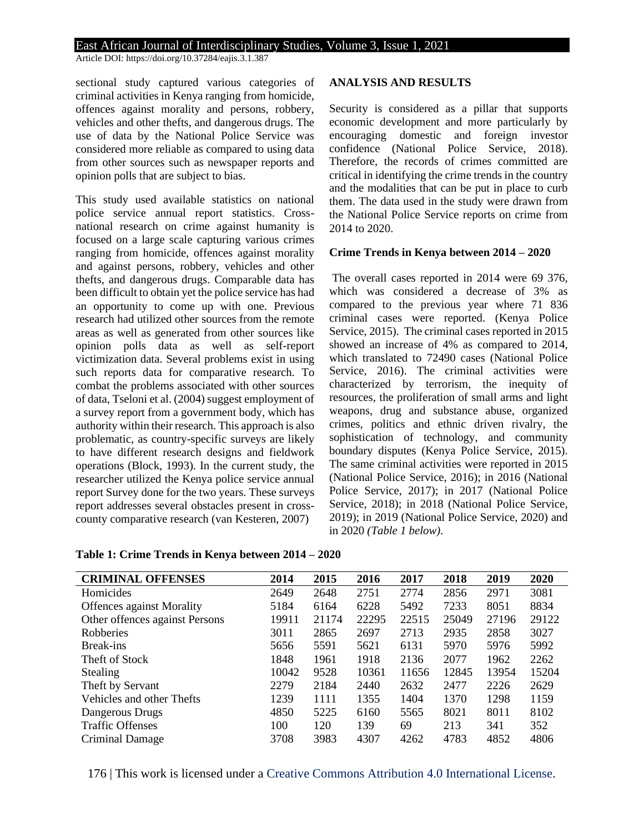Article DOI: https://doi.org/10.37284/eajis.3.1.387

sectional study captured various categories of criminal activities in Kenya ranging from homicide, offences against morality and persons, robbery, vehicles and other thefts, and dangerous drugs. The use of data by the National Police Service was considered more reliable as compared to using data from other sources such as newspaper reports and opinion polls that are subject to bias.

This study used available statistics on national police service annual report statistics. Crossnational research on crime against humanity is focused on a large scale capturing various crimes ranging from homicide, offences against morality and against persons, robbery, vehicles and other thefts, and dangerous drugs. Comparable data has been difficult to obtain yet the police service has had an opportunity to come up with one. Previous research had utilized other sources from the remote areas as well as generated from other sources like opinion polls data as well as self-report victimization data. Several problems exist in using such reports data for comparative research. To combat the problems associated with other sources of data, Tseloni et al. (2004) suggest employment of a survey report from a government body, which has authority within their research. This approach is also problematic, as country-specific surveys are likely to have different research designs and fieldwork operations (Block, 1993). In the current study, the researcher utilized the Kenya police service annual report Survey done for the two years. These surveys report addresses several obstacles present in crosscounty comparative research (van Kesteren, 2007)

#### **ANALYSIS AND RESULTS**

Security is considered as a pillar that supports economic development and more particularly by encouraging domestic and foreign investor confidence (National Police Service, 2018). Therefore, the records of crimes committed are critical in identifying the crime trends in the country and the modalities that can be put in place to curb them. The data used in the study were drawn from the National Police Service reports on crime from 2014 to 2020.

#### **Crime Trends in Kenya between 2014 – 2020**

The overall cases reported in 2014 were 69 376, which was considered a decrease of 3% as compared to the previous year where 71 836 criminal cases were reported. (Kenya Police Service, 2015). The criminal cases reported in 2015 showed an increase of 4% as compared to 2014, which translated to 72490 cases (National Police Service, 2016). The criminal activities were characterized by terrorism, the inequity of resources, the proliferation of small arms and light weapons, drug and substance abuse, organized crimes, politics and ethnic driven rivalry, the sophistication of technology, and community boundary disputes (Kenya Police Service, 2015). The same criminal activities were reported in 2015 (National Police Service, 2016); in 2016 (National Police Service, 2017); in 2017 (National Police Service, 2018); in 2018 (National Police Service, 2019); in 2019 (National Police Service, 2020) and in 2020 *(Table 1 below).* 

| <b>CRIMINAL OFFENSES</b>         | 2014  | 2015  | 2016  | 2017  | 2018  | 2019  | 2020  |
|----------------------------------|-------|-------|-------|-------|-------|-------|-------|
| Homicides                        | 2649  | 2648  | 2751  | 2774  | 2856  | 2971  | 3081  |
| <b>Offences against Morality</b> | 5184  | 6164  | 6228  | 5492  | 7233  | 8051  | 8834  |
| Other offences against Persons   | 19911 | 21174 | 22295 | 22515 | 25049 | 27196 | 29122 |
| Robberies                        | 3011  | 2865  | 2697  | 2713  | 2935  | 2858  | 3027  |
| Break-ins                        | 5656  | 5591  | 5621  | 6131  | 5970  | 5976  | 5992  |
| Theft of Stock                   | 1848  | 1961  | 1918  | 2136  | 2077  | 1962  | 2262  |
| <b>Stealing</b>                  | 10042 | 9528  | 10361 | 11656 | 12845 | 13954 | 15204 |
| Theft by Servant                 | 2279  | 2184  | 2440  | 2632  | 2477  | 2226  | 2629  |
| Vehicles and other Thefts        | 1239  | 1111  | 1355  | 1404  | 1370  | 1298  | 1159  |
| Dangerous Drugs                  | 4850  | 5225  | 6160  | 5565  | 8021  | 8011  | 8102  |
| <b>Traffic Offenses</b>          | 100   | 120   | 139   | 69    | 213   | 341   | 352   |
| Criminal Damage                  | 3708  | 3983  | 4307  | 4262  | 4783  | 4852  | 4806  |

**Table 1: Crime Trends in Kenya between 2014 – 2020**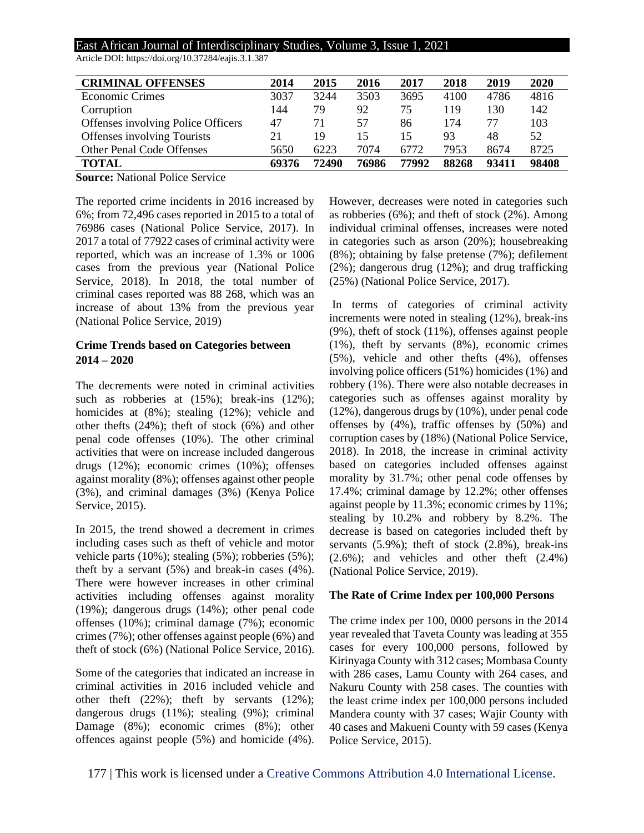| Article DOI: https://doi.org/10.37284/eajis.3.1.387 |  |
|-----------------------------------------------------|--|
|-----------------------------------------------------|--|

| <b>CRIMINAL OFFENSES</b>           | 2014  | 2015  | 2016  | 2017  | 2018  | 2019  | 2020  |
|------------------------------------|-------|-------|-------|-------|-------|-------|-------|
| <b>Economic Crimes</b>             | 3037  | 3244  | 3503  | 3695  | 4100  | 4786  | 4816  |
| Corruption                         | 144   | 79    | 92    | 75    | 119   | 130   | 142   |
| Offenses involving Police Officers | 47    |       | 57    | 86    | 174   | 77    | 103   |
| Offenses involving Tourists        | 21    | 19    | 15    | 15    | 93    | 48    | 52    |
| <b>Other Penal Code Offenses</b>   | 5650  | 6223  | 7074  | 6772  | 7953  | 8674  | 8725  |
| <b>TOTAL</b>                       | 69376 | 72490 | 76986 | 77992 | 88268 | 93411 | 98408 |

**Source:** National Police Service

The reported crime incidents in 2016 increased by 6%; from 72,496 cases reported in 2015 to a total of 76986 cases (National Police Service, 2017). In 2017 a total of 77922 cases of criminal activity were reported, which was an increase of 1.3% or 1006 cases from the previous year (National Police Service, 2018). In 2018, the total number of criminal cases reported was 88 268, which was an increase of about 13% from the previous year (National Police Service, 2019)

### **Crime Trends based on Categories between 2014 – 2020**

The decrements were noted in criminal activities such as robberies at  $(15%)$ ; break-ins  $(12%)$ ; homicides at (8%); stealing (12%); vehicle and other thefts (24%); theft of stock (6%) and other penal code offenses (10%). The other criminal activities that were on increase included dangerous drugs (12%); economic crimes (10%); offenses against morality (8%); offenses against other people (3%), and criminal damages (3%) (Kenya Police Service, 2015).

In 2015, the trend showed a decrement in crimes including cases such as theft of vehicle and motor vehicle parts (10%); stealing (5%); robberies (5%); theft by a servant (5%) and break-in cases (4%). There were however increases in other criminal activities including offenses against morality (19%); dangerous drugs (14%); other penal code offenses (10%); criminal damage (7%); economic crimes (7%); other offenses against people (6%) and theft of stock (6%) (National Police Service, 2016).

Some of the categories that indicated an increase in criminal activities in 2016 included vehicle and other theft (22%); theft by servants (12%); dangerous drugs (11%); stealing (9%); criminal Damage (8%); economic crimes (8%); other offences against people (5%) and homicide (4%). However, decreases were noted in categories such as robberies (6%); and theft of stock (2%). Among individual criminal offenses, increases were noted in categories such as arson (20%); housebreaking (8%); obtaining by false pretense (7%); defilement (2%); dangerous drug (12%); and drug trafficking (25%) (National Police Service, 2017).

In terms of categories of criminal activity increments were noted in stealing (12%), break-ins (9%), theft of stock (11%), offenses against people (1%), theft by servants (8%), economic crimes (5%), vehicle and other thefts (4%), offenses involving police officers (51%) homicides (1%) and robbery (1%). There were also notable decreases in categories such as offenses against morality by (12%), dangerous drugs by (10%), under penal code offenses by (4%), traffic offenses by (50%) and corruption cases by (18%) (National Police Service, 2018). In 2018, the increase in criminal activity based on categories included offenses against morality by 31.7%; other penal code offenses by 17.4%; criminal damage by 12.2%; other offenses against people by 11.3%; economic crimes by 11%; stealing by 10.2% and robbery by 8.2%. The decrease is based on categories included theft by servants (5.9%); theft of stock (2.8%), break-ins (2.6%); and vehicles and other theft (2.4%) (National Police Service, 2019).

#### **The Rate of Crime Index per 100,000 Persons**

The crime index per 100, 0000 persons in the 2014 year revealed that Taveta County was leading at 355 cases for every 100,000 persons, followed by Kirinyaga County with 312 cases; Mombasa County with 286 cases, Lamu County with 264 cases, and Nakuru County with 258 cases. The counties with the least crime index per 100,000 persons included Mandera county with 37 cases; Wajir County with 40 cases and Makueni County with 59 cases (Kenya Police Service, 2015).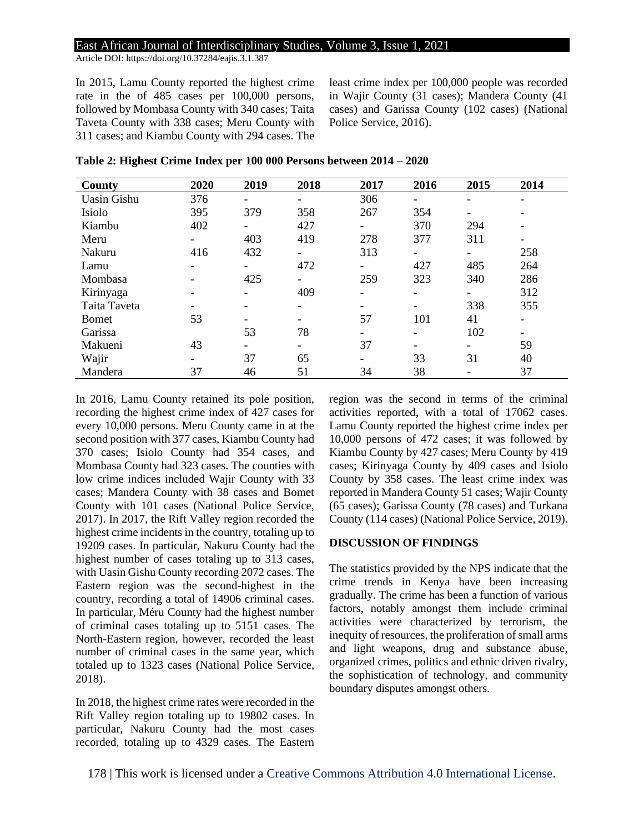Article DOI: https://doi.org/10.37284/eajis.3.1.387

In 2015, Lamu County reported the highest crime rate in the of 485 cases per 100,000 persons, followed by Mombasa County with 340 cases; Taita Taveta County with 338 cases; Meru County with 311 cases; and Kiambu County with 294 cases. The least crime index per 100,000 people was recorded in Wajir County (31 cases); Mandera County (41 cases) and Garissa County (102 cases) (National Police Service, 2016).

| County             | 2020 | 2019                     | 2018                     | 2017                     | 2016                     | 2015                     | 2014                     |
|--------------------|------|--------------------------|--------------------------|--------------------------|--------------------------|--------------------------|--------------------------|
| <b>Uasin Gishu</b> | 376  | Ξ.                       | Ξ.                       | 306                      | $\overline{\phantom{0}}$ | -                        |                          |
| Isiolo             | 395  | 379                      | 358                      | 267                      | 354                      | $\overline{\phantom{a}}$ |                          |
| Kiambu             | 402  | $\overline{\phantom{0}}$ | 427                      | -                        | 370                      | 294                      |                          |
| Meru               |      | 403                      | 419                      | 278                      | 377                      | 311                      |                          |
| Nakuru             | 416  | 432                      | $\overline{\phantom{0}}$ | 313                      | -                        | -                        | 258                      |
| Lamu               |      | -                        | 472                      | -                        | 427                      | 485                      | 264                      |
| Mombasa            |      | 425                      | Ξ.                       | 259                      | 323                      | 340                      | 286                      |
| Kirinyaga          |      |                          | 409                      | $\overline{\phantom{0}}$ | $\overline{\phantom{0}}$ | -                        | 312                      |
| Taita Taveta       |      |                          | -                        |                          | -                        | 338                      | 355                      |
| <b>Bomet</b>       | 53   |                          | -                        | 57                       | 101                      | 41                       | $\overline{\phantom{0}}$ |
| Garissa            |      | 53                       | 78                       | -                        | -                        | 102                      |                          |
| Makueni            | 43   | -                        | Ξ.                       | 37                       | $\overline{\phantom{0}}$ | -                        | 59                       |
| Wajir              |      | 37                       | 65                       | -                        | 33                       | 31                       | 40                       |
| Mandera            | 37   | 46                       | 51                       | 34                       | 38                       |                          | 37                       |

**Table 2: Highest Crime Index per 100 000 Persons between 2014 – 2020**

In 2016, Lamu County retained its pole position, recording the highest crime index of 427 cases for every 10,000 persons. Meru County came in at the second position with 377 cases, Kiambu County had 370 cases; Isiolo County had 354 cases, and Mombasa County had 323 cases. The counties with low crime indices included Wajir County with 33 cases; Mandera County with 38 cases and Bomet County with 101 cases (National Police Service, 2017). In 2017, the Rift Valley region recorded the highest crime incidents in the country, totaling up to 19209 cases. In particular, Nakuru County had the highest number of cases totaling up to 313 cases, with Uasin Gishu County recording 2072 cases. The Eastern region was the second-highest in the country, recording a total of 14906 criminal cases. In particular, Méru County had the highest number of criminal cases totaling up to 5151 cases. The North-Eastern region, however, recorded the least number of criminal cases in the same year, which totaled up to 1323 cases (National Police Service, 2018).

In 2018, the highest crime rates were recorded in the Rift Valley region totaling up to 19802 cases. In particular, Nakuru County had the most cases recorded, totaling up to 4329 cases. The Eastern region was the second in terms of the criminal activities reported, with a total of 17062 cases. Lamu County reported the highest crime index per 10,000 persons of 472 cases; it was followed by Kiambu County by 427 cases; Meru County by 419 cases; Kirinyaga County by 409 cases and Isiolo County by 358 cases. The least crime index was reported in Mandera County 51 cases; Wajir County (65 cases); Garissa County (78 cases) and Turkana County (114 cases) (National Police Service, 2019).

#### **DISCUSSION OF FINDINGS**

The statistics provided by the NPS indicate that the crime trends in Kenya have been increasing gradually. The crime has been a function of various factors, notably amongst them include criminal activities were characterized by terrorism, the inequity of resources, the proliferation of small arms and light weapons, drug and substance abuse, organized crimes, politics and ethnic driven rivalry, the sophistication of technology, and community boundary disputes amongst others.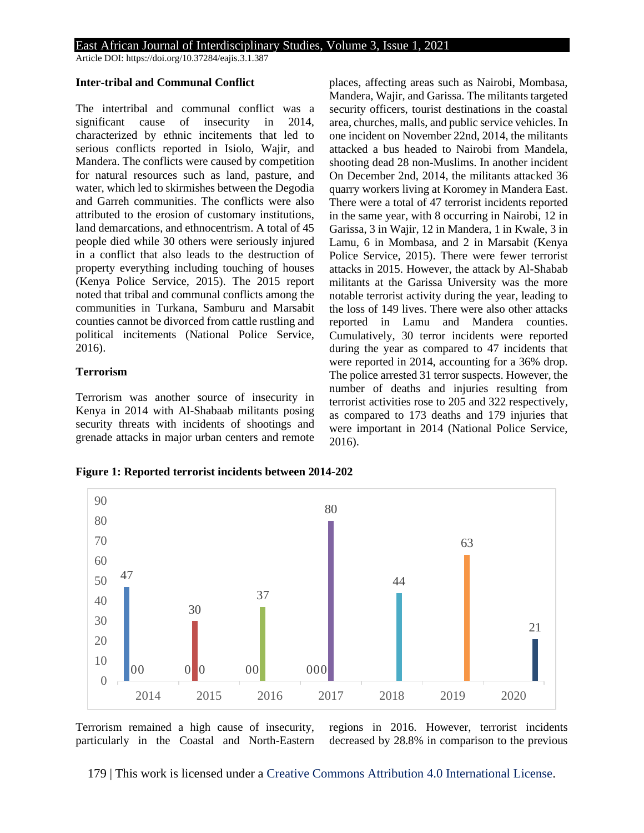Article DOI: https://doi.org/10.37284/eajis.3.1.387

#### **Inter-tribal and Communal Conflict**

The intertribal and communal conflict was a significant cause of insecurity in 2014, characterized by ethnic incitements that led to serious conflicts reported in Isiolo, Wajir, and Mandera. The conflicts were caused by competition for natural resources such as land, pasture, and water, which led to skirmishes between the Degodia and Garreh communities. The conflicts were also attributed to the erosion of customary institutions, land demarcations, and ethnocentrism. A total of 45 people died while 30 others were seriously injured in a conflict that also leads to the destruction of property everything including touching of houses (Kenya Police Service, 2015). The 2015 report noted that tribal and communal conflicts among the communities in Turkana, Samburu and Marsabit counties cannot be divorced from cattle rustling and political incitements (National Police Service, 2016).

#### **Terrorism**

Terrorism was another source of insecurity in Kenya in 2014 with Al-Shabaab militants posing security threats with incidents of shootings and grenade attacks in major urban centers and remote places, affecting areas such as Nairobi, Mombasa, Mandera, Wajir, and Garissa. The militants targeted security officers, tourist destinations in the coastal area, churches, malls, and public service vehicles. In one incident on November 22nd, 2014, the militants attacked a bus headed to Nairobi from Mandela, shooting dead 28 non-Muslims. In another incident On December 2nd, 2014, the militants attacked 36 quarry workers living at Koromey in Mandera East. There were a total of 47 terrorist incidents reported in the same year, with 8 occurring in Nairobi, 12 in Garissa, 3 in Wajir, 12 in Mandera, 1 in Kwale, 3 in Lamu, 6 in Mombasa, and 2 in Marsabit (Kenya Police Service, 2015). There were fewer terrorist attacks in 2015. However, the attack by Al-Shabab militants at the Garissa University was the more notable terrorist activity during the year, leading to the loss of 149 lives. There were also other attacks reported in Lamu and Mandera counties. Cumulatively, 30 terror incidents were reported during the year as compared to 47 incidents that were reported in 2014, accounting for a 36% drop. The police arrested 31 terror suspects. However, the number of deaths and injuries resulting from terrorist activities rose to 205 and 322 respectively, as compared to 173 deaths and 179 injuries that were important in 2014 (National Police Service, 2016).

**Figure 1: Reported terrorist incidents between 2014-202**



Terrorism remained a high cause of insecurity, particularly in the Coastal and North-Eastern regions in 2016. However, terrorist incidents decreased by 28.8% in comparison to the previous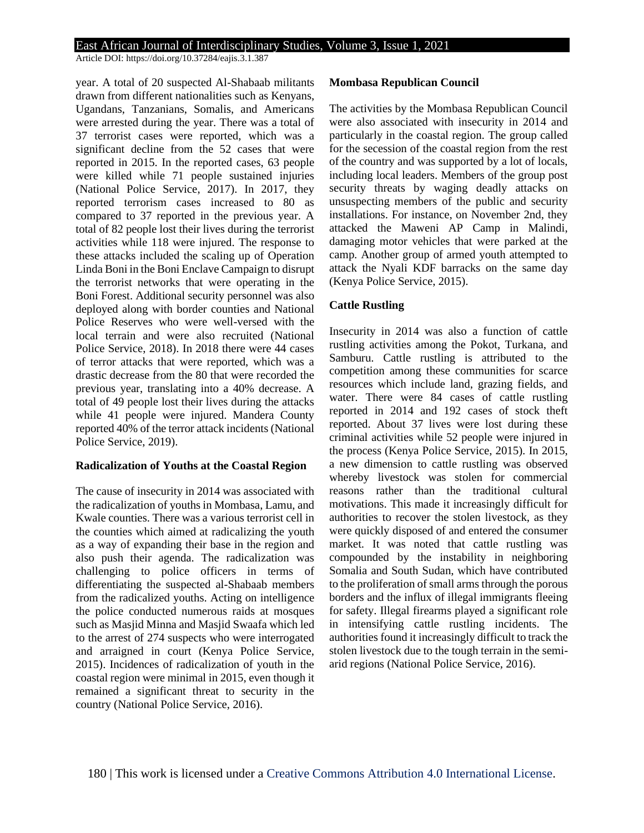Article DOI: https://doi.org/10.37284/eajis.3.1.387

year. A total of 20 suspected Al-Shabaab militants drawn from different nationalities such as Kenyans, Ugandans, Tanzanians, Somalis, and Americans were arrested during the year. There was a total of 37 terrorist cases were reported, which was a significant decline from the 52 cases that were reported in 2015. In the reported cases, 63 people were killed while 71 people sustained injuries (National Police Service, 2017). In 2017, they reported terrorism cases increased to 80 as compared to 37 reported in the previous year. A total of 82 people lost their lives during the terrorist activities while 118 were injured. The response to these attacks included the scaling up of Operation Linda Boni in the Boni Enclave Campaign to disrupt the terrorist networks that were operating in the Boni Forest. Additional security personnel was also deployed along with border counties and National Police Reserves who were well-versed with the local terrain and were also recruited (National Police Service, 2018). In 2018 there were 44 cases of terror attacks that were reported, which was a drastic decrease from the 80 that were recorded the previous year, translating into a 40% decrease. A total of 49 people lost their lives during the attacks while 41 people were injured. Mandera County reported 40% of the terror attack incidents (National Police Service, 2019).

#### **Radicalization of Youths at the Coastal Region**

The cause of insecurity in 2014 was associated with the radicalization of youths in Mombasa, Lamu, and Kwale counties. There was a various terrorist cell in the counties which aimed at radicalizing the youth as a way of expanding their base in the region and also push their agenda. The radicalization was challenging to police officers in terms of differentiating the suspected al-Shabaab members from the radicalized youths. Acting on intelligence the police conducted numerous raids at mosques such as Masjid Minna and Masjid Swaafa which led to the arrest of 274 suspects who were interrogated and arraigned in court (Kenya Police Service, 2015). Incidences of radicalization of youth in the coastal region were minimal in 2015, even though it remained a significant threat to security in the country (National Police Service, 2016).

#### **Mombasa Republican Council**

The activities by the Mombasa Republican Council were also associated with insecurity in 2014 and particularly in the coastal region. The group called for the secession of the coastal region from the rest of the country and was supported by a lot of locals, including local leaders. Members of the group post security threats by waging deadly attacks on unsuspecting members of the public and security installations. For instance, on November 2nd, they attacked the Maweni AP Camp in Malindi, damaging motor vehicles that were parked at the camp. Another group of armed youth attempted to attack the Nyali KDF barracks on the same day (Kenya Police Service, 2015).

#### **Cattle Rustling**

Insecurity in 2014 was also a function of cattle rustling activities among the Pokot, Turkana, and Samburu. Cattle rustling is attributed to the competition among these communities for scarce resources which include land, grazing fields, and water. There were 84 cases of cattle rustling reported in 2014 and 192 cases of stock theft reported. About 37 lives were lost during these criminal activities while 52 people were injured in the process (Kenya Police Service, 2015). In 2015, a new dimension to cattle rustling was observed whereby livestock was stolen for commercial reasons rather than the traditional cultural motivations. This made it increasingly difficult for authorities to recover the stolen livestock, as they were quickly disposed of and entered the consumer market. It was noted that cattle rustling was compounded by the instability in neighboring Somalia and South Sudan, which have contributed to the proliferation of small arms through the porous borders and the influx of illegal immigrants fleeing for safety. Illegal firearms played a significant role in intensifying cattle rustling incidents. The authorities found it increasingly difficult to track the stolen livestock due to the tough terrain in the semiarid regions (National Police Service, 2016).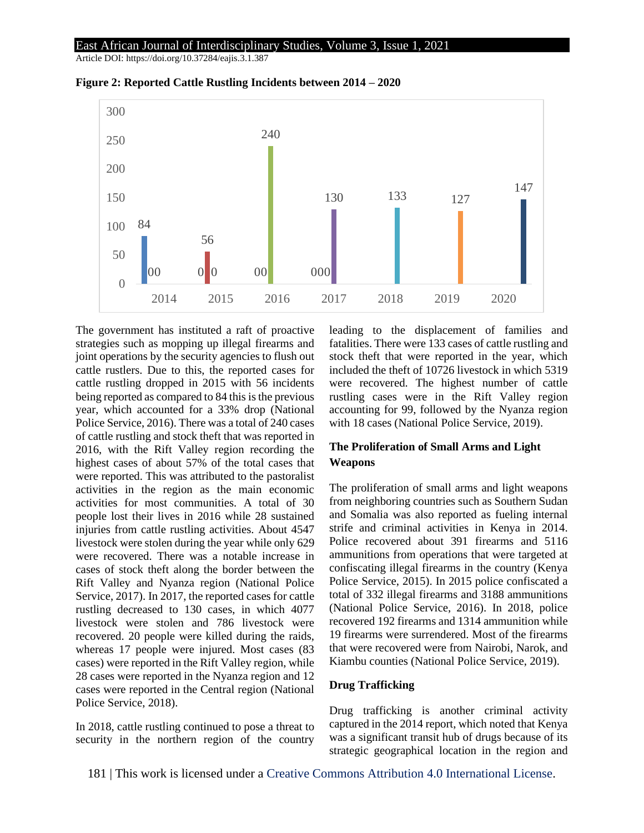Article DOI: https://doi.org/10.37284/eajis.3.1.387



**Figure 2: Reported Cattle Rustling Incidents between 2014 – 2020**

The government has instituted a raft of proactive strategies such as mopping up illegal firearms and joint operations by the security agencies to flush out cattle rustlers. Due to this, the reported cases for cattle rustling dropped in 2015 with 56 incidents being reported as compared to 84 this is the previous year, which accounted for a 33% drop (National Police Service, 2016). There was a total of 240 cases of cattle rustling and stock theft that was reported in 2016, with the Rift Valley region recording the highest cases of about 57% of the total cases that were reported. This was attributed to the pastoralist activities in the region as the main economic activities for most communities. A total of 30 people lost their lives in 2016 while 28 sustained injuries from cattle rustling activities. About 4547 livestock were stolen during the year while only 629 were recovered. There was a notable increase in cases of stock theft along the border between the Rift Valley and Nyanza region (National Police Service, 2017). In 2017, the reported cases for cattle rustling decreased to 130 cases, in which 4077 livestock were stolen and 786 livestock were recovered. 20 people were killed during the raids, whereas 17 people were injured. Most cases (83 cases) were reported in the Rift Valley region, while 28 cases were reported in the Nyanza region and 12 cases were reported in the Central region (National Police Service, 2018).

In 2018, cattle rustling continued to pose a threat to security in the northern region of the country

leading to the displacement of families and fatalities. There were 133 cases of cattle rustling and stock theft that were reported in the year, which included the theft of 10726 livestock in which 5319 were recovered. The highest number of cattle rustling cases were in the Rift Valley region accounting for 99, followed by the Nyanza region with 18 cases (National Police Service, 2019).

### **The Proliferation of Small Arms and Light Weapons**

The proliferation of small arms and light weapons from neighboring countries such as Southern Sudan and Somalia was also reported as fueling internal strife and criminal activities in Kenya in 2014. Police recovered about 391 firearms and 5116 ammunitions from operations that were targeted at confiscating illegal firearms in the country (Kenya Police Service, 2015). In 2015 police confiscated a total of 332 illegal firearms and 3188 ammunitions (National Police Service, 2016). In 2018, police recovered 192 firearms and 1314 ammunition while 19 firearms were surrendered. Most of the firearms that were recovered were from Nairobi, Narok, and Kiambu counties (National Police Service, 2019).

#### **Drug Trafficking**

Drug trafficking is another criminal activity captured in the 2014 report, which noted that Kenya was a significant transit hub of drugs because of its strategic geographical location in the region and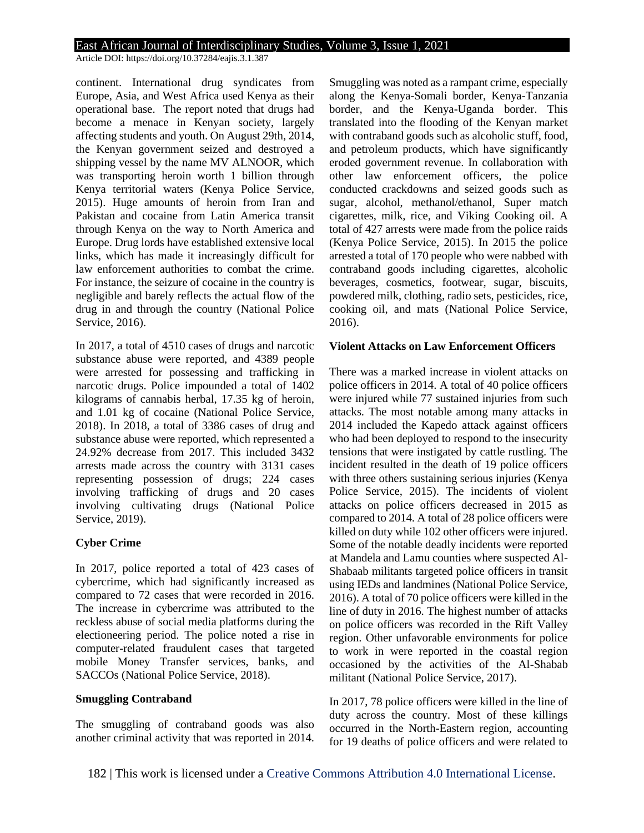Article DOI: https://doi.org/10.37284/eajis.3.1.387

continent. International drug syndicates from Europe, Asia, and West Africa used Kenya as their operational base. The report noted that drugs had become a menace in Kenyan society, largely affecting students and youth. On August 29th, 2014, the Kenyan government seized and destroyed a shipping vessel by the name MV ALNOOR, which was transporting heroin worth 1 billion through Kenya territorial waters (Kenya Police Service, 2015). Huge amounts of heroin from Iran and Pakistan and cocaine from Latin America transit through Kenya on the way to North America and Europe. Drug lords have established extensive local links, which has made it increasingly difficult for law enforcement authorities to combat the crime. For instance, the seizure of cocaine in the country is negligible and barely reflects the actual flow of the drug in and through the country (National Police Service, 2016).

In 2017, a total of 4510 cases of drugs and narcotic substance abuse were reported, and 4389 people were arrested for possessing and trafficking in narcotic drugs. Police impounded a total of 1402 kilograms of cannabis herbal, 17.35 kg of heroin, and 1.01 kg of cocaine (National Police Service, 2018). In 2018, a total of 3386 cases of drug and substance abuse were reported, which represented a 24.92% decrease from 2017. This included 3432 arrests made across the country with 3131 cases representing possession of drugs; 224 cases involving trafficking of drugs and 20 cases involving cultivating drugs (National Police Service, 2019).

#### **Cyber Crime**

In 2017, police reported a total of 423 cases of cybercrime, which had significantly increased as compared to 72 cases that were recorded in 2016. The increase in cybercrime was attributed to the reckless abuse of social media platforms during the electioneering period. The police noted a rise in computer-related fraudulent cases that targeted mobile Money Transfer services, banks, and SACCOs (National Police Service, 2018).

#### **Smuggling Contraband**

The smuggling of contraband goods was also another criminal activity that was reported in 2014.

Smuggling was noted as a rampant crime, especially along the Kenya-Somali border, Kenya-Tanzania border, and the Kenya-Uganda border. This translated into the flooding of the Kenyan market with contraband goods such as alcoholic stuff, food, and petroleum products, which have significantly eroded government revenue. In collaboration with other law enforcement officers, the police conducted crackdowns and seized goods such as sugar, alcohol, methanol/ethanol, Super match cigarettes, milk, rice, and Viking Cooking oil. A total of 427 arrests were made from the police raids (Kenya Police Service, 2015). In 2015 the police arrested a total of 170 people who were nabbed with contraband goods including cigarettes, alcoholic beverages, cosmetics, footwear, sugar, biscuits, powdered milk, clothing, radio sets, pesticides, rice, cooking oil, and mats (National Police Service, 2016).

#### **Violent Attacks on Law Enforcement Officers**

There was a marked increase in violent attacks on police officers in 2014. A total of 40 police officers were injured while 77 sustained injuries from such attacks. The most notable among many attacks in 2014 included the Kapedo attack against officers who had been deployed to respond to the insecurity tensions that were instigated by cattle rustling. The incident resulted in the death of 19 police officers with three others sustaining serious injuries (Kenya Police Service, 2015). The incidents of violent attacks on police officers decreased in 2015 as compared to 2014. A total of 28 police officers were killed on duty while 102 other officers were injured. Some of the notable deadly incidents were reported at Mandela and Lamu counties where suspected Al-Shabaab militants targeted police officers in transit using IEDs and landmines (National Police Service, 2016). A total of 70 police officers were killed in the line of duty in 2016. The highest number of attacks on police officers was recorded in the Rift Valley region. Other unfavorable environments for police to work in were reported in the coastal region occasioned by the activities of the Al-Shabab militant (National Police Service, 2017).

In 2017, 78 police officers were killed in the line of duty across the country. Most of these killings occurred in the North-Eastern region, accounting for 19 deaths of police officers and were related to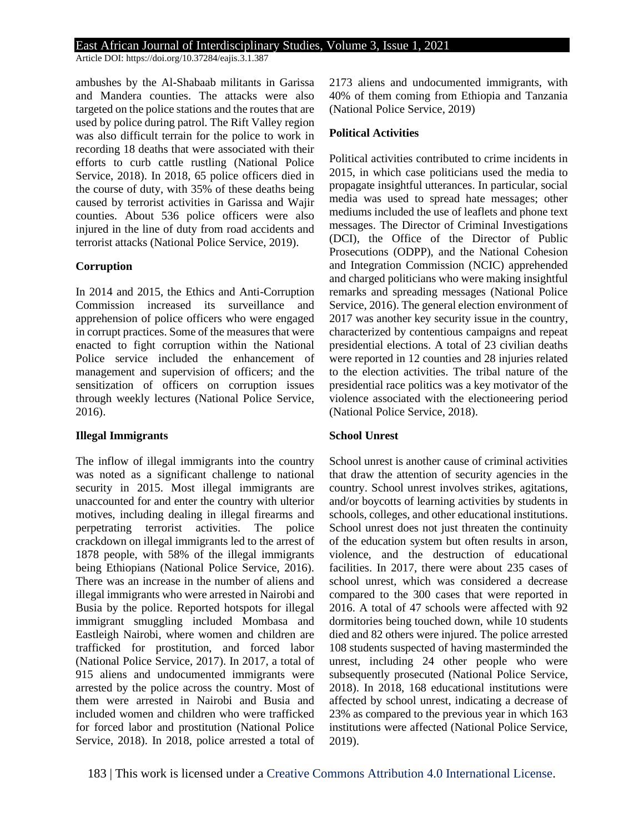Article DOI: https://doi.org/10.37284/eajis.3.1.387

ambushes by the Al-Shabaab militants in Garissa and Mandera counties. The attacks were also targeted on the police stations and the routes that are used by police during patrol. The Rift Valley region was also difficult terrain for the police to work in recording 18 deaths that were associated with their efforts to curb cattle rustling (National Police Service, 2018). In 2018, 65 police officers died in the course of duty, with 35% of these deaths being caused by terrorist activities in Garissa and Wajir counties. About 536 police officers were also injured in the line of duty from road accidents and terrorist attacks (National Police Service, 2019).

#### **Corruption**

In 2014 and 2015, the Ethics and Anti-Corruption Commission increased its surveillance and apprehension of police officers who were engaged in corrupt practices. Some of the measures that were enacted to fight corruption within the National Police service included the enhancement of management and supervision of officers; and the sensitization of officers on corruption issues through weekly lectures (National Police Service, 2016).

#### **Illegal Immigrants**

The inflow of illegal immigrants into the country was noted as a significant challenge to national security in 2015. Most illegal immigrants are unaccounted for and enter the country with ulterior motives, including dealing in illegal firearms and perpetrating terrorist activities. The police crackdown on illegal immigrants led to the arrest of 1878 people, with 58% of the illegal immigrants being Ethiopians (National Police Service, 2016). There was an increase in the number of aliens and illegal immigrants who were arrested in Nairobi and Busia by the police. Reported hotspots for illegal immigrant smuggling included Mombasa and Eastleigh Nairobi, where women and children are trafficked for prostitution, and forced labor (National Police Service, 2017). In 2017, a total of 915 aliens and undocumented immigrants were arrested by the police across the country. Most of them were arrested in Nairobi and Busia and included women and children who were trafficked for forced labor and prostitution (National Police Service, 2018). In 2018, police arrested a total of 2173 aliens and undocumented immigrants, with 40% of them coming from Ethiopia and Tanzania (National Police Service, 2019)

#### **Political Activities**

Political activities contributed to crime incidents in 2015, in which case politicians used the media to propagate insightful utterances. In particular, social media was used to spread hate messages; other mediums included the use of leaflets and phone text messages. The Director of Criminal Investigations (DCI), the Office of the Director of Public Prosecutions (ODPP), and the National Cohesion and Integration Commission (NCIC) apprehended and charged politicians who were making insightful remarks and spreading messages (National Police Service, 2016). The general election environment of 2017 was another key security issue in the country, characterized by contentious campaigns and repeat presidential elections. A total of 23 civilian deaths were reported in 12 counties and 28 injuries related to the election activities. The tribal nature of the presidential race politics was a key motivator of the violence associated with the electioneering period (National Police Service, 2018).

#### **School Unrest**

School unrest is another cause of criminal activities that draw the attention of security agencies in the country. School unrest involves strikes, agitations, and/or boycotts of learning activities by students in schools, colleges, and other educational institutions. School unrest does not just threaten the continuity of the education system but often results in arson, violence, and the destruction of educational facilities. In 2017, there were about 235 cases of school unrest, which was considered a decrease compared to the 300 cases that were reported in 2016. A total of 47 schools were affected with 92 dormitories being touched down, while 10 students died and 82 others were injured. The police arrested 108 students suspected of having masterminded the unrest, including 24 other people who were subsequently prosecuted (National Police Service, 2018). In 2018, 168 educational institutions were affected by school unrest, indicating a decrease of 23% as compared to the previous year in which 163 institutions were affected (National Police Service, 2019).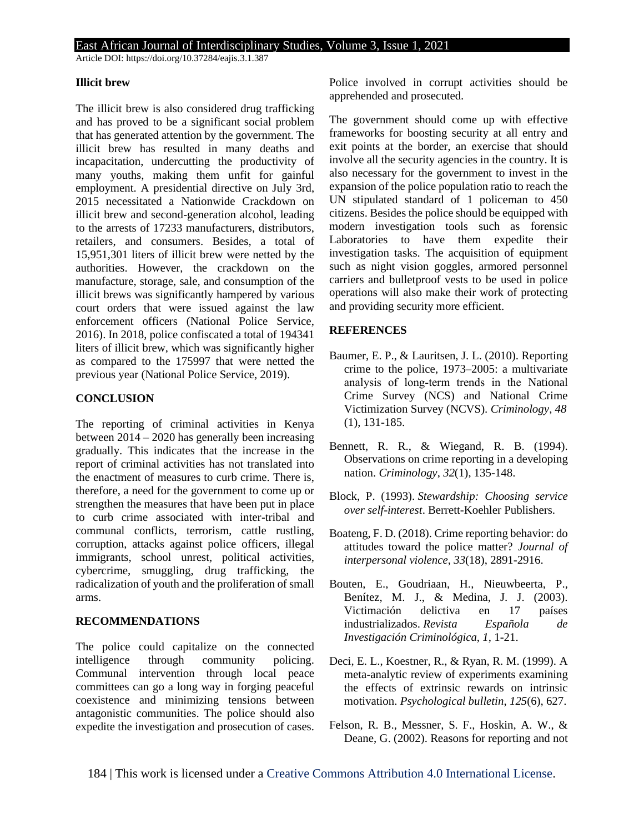Article DOI: https://doi.org/10.37284/eajis.3.1.387

#### **Illicit brew**

The illicit brew is also considered drug trafficking and has proved to be a significant social problem that has generated attention by the government. The illicit brew has resulted in many deaths and incapacitation, undercutting the productivity of many youths, making them unfit for gainful employment. A presidential directive on July 3rd, 2015 necessitated a Nationwide Crackdown on illicit brew and second-generation alcohol, leading to the arrests of 17233 manufacturers, distributors, retailers, and consumers. Besides, a total of 15,951,301 liters of illicit brew were netted by the authorities. However, the crackdown on the manufacture, storage, sale, and consumption of the illicit brews was significantly hampered by various court orders that were issued against the law enforcement officers (National Police Service, 2016). In 2018, police confiscated a total of 194341 liters of illicit brew, which was significantly higher as compared to the 175997 that were netted the previous year (National Police Service, 2019).

### **CONCLUSION**

The reporting of criminal activities in Kenya between 2014 – 2020 has generally been increasing gradually. This indicates that the increase in the report of criminal activities has not translated into the enactment of measures to curb crime. There is, therefore, a need for the government to come up or strengthen the measures that have been put in place to curb crime associated with inter-tribal and communal conflicts, terrorism, cattle rustling, corruption, attacks against police officers, illegal immigrants, school unrest, political activities, cybercrime, smuggling, drug trafficking, the radicalization of youth and the proliferation of small arms.

#### **RECOMMENDATIONS**

The police could capitalize on the connected intelligence through community policing. Communal intervention through local peace committees can go a long way in forging peaceful coexistence and minimizing tensions between antagonistic communities. The police should also expedite the investigation and prosecution of cases.

Police involved in corrupt activities should be apprehended and prosecuted.

The government should come up with effective frameworks for boosting security at all entry and exit points at the border, an exercise that should involve all the security agencies in the country. It is also necessary for the government to invest in the expansion of the police population ratio to reach the UN stipulated standard of 1 policeman to 450 citizens. Besides the police should be equipped with modern investigation tools such as forensic Laboratories to have them expedite their investigation tasks. The acquisition of equipment such as night vision goggles, armored personnel carriers and bulletproof vests to be used in police operations will also make their work of protecting and providing security more efficient.

### **REFERENCES**

- Baumer, E. P., & Lauritsen, J. L. (2010). Reporting crime to the police, 1973–2005: a multivariate analysis of long‐term trends in the National Crime Survey (NCS) and National Crime Victimization Survey (NCVS). *Criminology*, *48* (1), 131-185.
- Bennett, R. R., & Wiegand, R. B. (1994). Observations on crime reporting in a developing nation. *Criminology*, *32*(1), 135-148.
- Block, P. (1993). *Stewardship: Choosing service over self-interest*. Berrett-Koehler Publishers.
- Boateng, F. D. (2018). Crime reporting behavior: do attitudes toward the police matter? *Journal of interpersonal violence*, *33*(18), 2891-2916.
- Bouten, E., Goudriaan, H., Nieuwbeerta, P., Benítez, M. J., & Medina, J. J. (2003). Victimación delictiva en 17 países industrializados. *Revista Española de Investigación Criminológica*, *1*, 1-21.
- Deci, E. L., Koestner, R., & Ryan, R. M. (1999). A meta-analytic review of experiments examining the effects of extrinsic rewards on intrinsic motivation. *Psychological bulletin*, *125*(6), 627.
- Felson, R. B., Messner, S. F., Hoskin, A. W., & Deane, G. (2002). Reasons for reporting and not